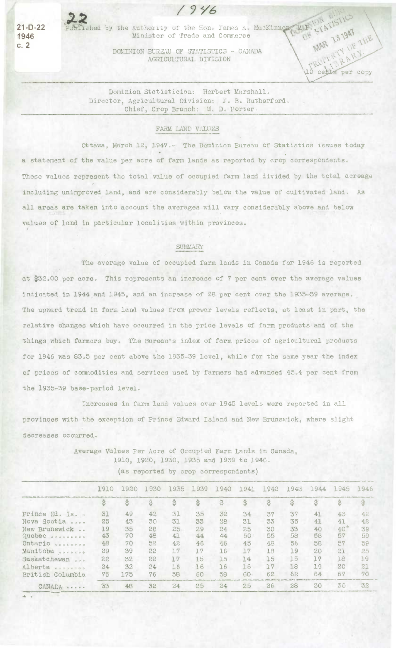

/i9Ye

**21-D-22** Published by the Authority of the Hon. James A. MacKin **1946 Minister of Trade and Commerce** 

> DOMINION BUREAU OF STATISTICS - CANADA AGRICULTURAL DIVISION

PRUMPRAM?

OF

MAR 13 1947

481

Dominion Stetistician: Herbert Marshall. Director, Agricultural Division: J. B. Rutherford. Chief, Crop Branch: W. D. Porter.

## FARM LAND VALUES

Ottawa, March 12, 1947.- The Dominion Bureau of Statistics issues today a statement of the value per acre of farm lands as reported by crop correspondents. These values represent the total value of occupied farm land divided by the total acreage including unimproved land, and are considerably below the value of cultivated land, As all areas are taken into account the averages will vary considerably above and below values of land in particular localities within provinces.

## SUMMARY

The average value of occupied farm lands in Canada for 1946 is reported at \$32.00 per acre. This represents an increase of 7 per cent over the average values indicated in 1944 and 1945, and an increase of 28 per cent over the 1935-39 average. The upward trend in farm land values from prewar levels reflects, at least in part, the relative changes which have occurred in the price levels of farm products and of the things which farmers buy. The Bureau's index of farm prices of agricultural products for 1946 was 83.5 per cent above the 1935-39 level, while for the same year the index of prices of commodities and services used by farmers had advanced 45,4 per cent from the 1935-39 base-period level.

Increases in farm land values over 1945 levels were reported in all provinces with the exception of Prince Edward Island and New Brunswick, where slight decreases occurred.

> Average Values Per Acre of Occupied Farm Lands in Canada, 1910, *1920,* 1930, 1935 and 1939 to 1946. (as reported by crop correspondents)

|                            | 1910 | 1920 | 1930 | 1935 | 1939 | 1940 | 1941 | 1942 | 1943 | 1944 | 1945 | 1946 |
|----------------------------|------|------|------|------|------|------|------|------|------|------|------|------|
|                            |      | \$   |      |      | \$   | \$   | \$   |      |      |      |      | 3    |
| Prince Ed. Is              | 31   | 49   | 42   | 31   | 35   | 32   | 34   | 37   | 37   | 41   | 43   | 42   |
| Nova Scotia<br>0.0001      | 25   | 43   | 30   | 31   | 33   | 28   | 31   | 33   | 35   | 41   | 41   | 42   |
| New Brunswick              | 19   | 35   | 28   | 25   | 29   | 24   | 25   | 30   | 33   | 40   | 40   | 39   |
| Quebec                     | 43   | 70   | 48   | 41   | 44   | 44   | 50   | 55   | 58   | 58   | 57   | 59   |
| Ontario occorrecto         | 48   | 70   | 52   | 42   | 46   | 46   | 45   | 48   | 56   | 58   | 57   | 59   |
| Manitoba                   | 29   | 39   | 22   | 17   | 17   | 16   | 17   | 18   | 19   | 20   | 21   | 25   |
| Saskatchewan               | 22   | 32   | 22   | 17   | 15   | 15   | 14   | 15   | 15   | 17   | 18   | 19   |
| Alberta openered           | 24   | 32   | 24   | 16   | 16   | 16   | 16   | 17   | 18   | 19   | 20   | 21   |
| British Columbia           | 75   | 175  | 76   | 58   | 60   | 58   | 60   | 62   | 62   | 64   | 67   | 70   |
| $CANADA \cdot \cdot \cdot$ | 33   | 48   | 32   | 24   | 25   | 24   | 25   | 26   | 28   | 30   | 30   | 32   |